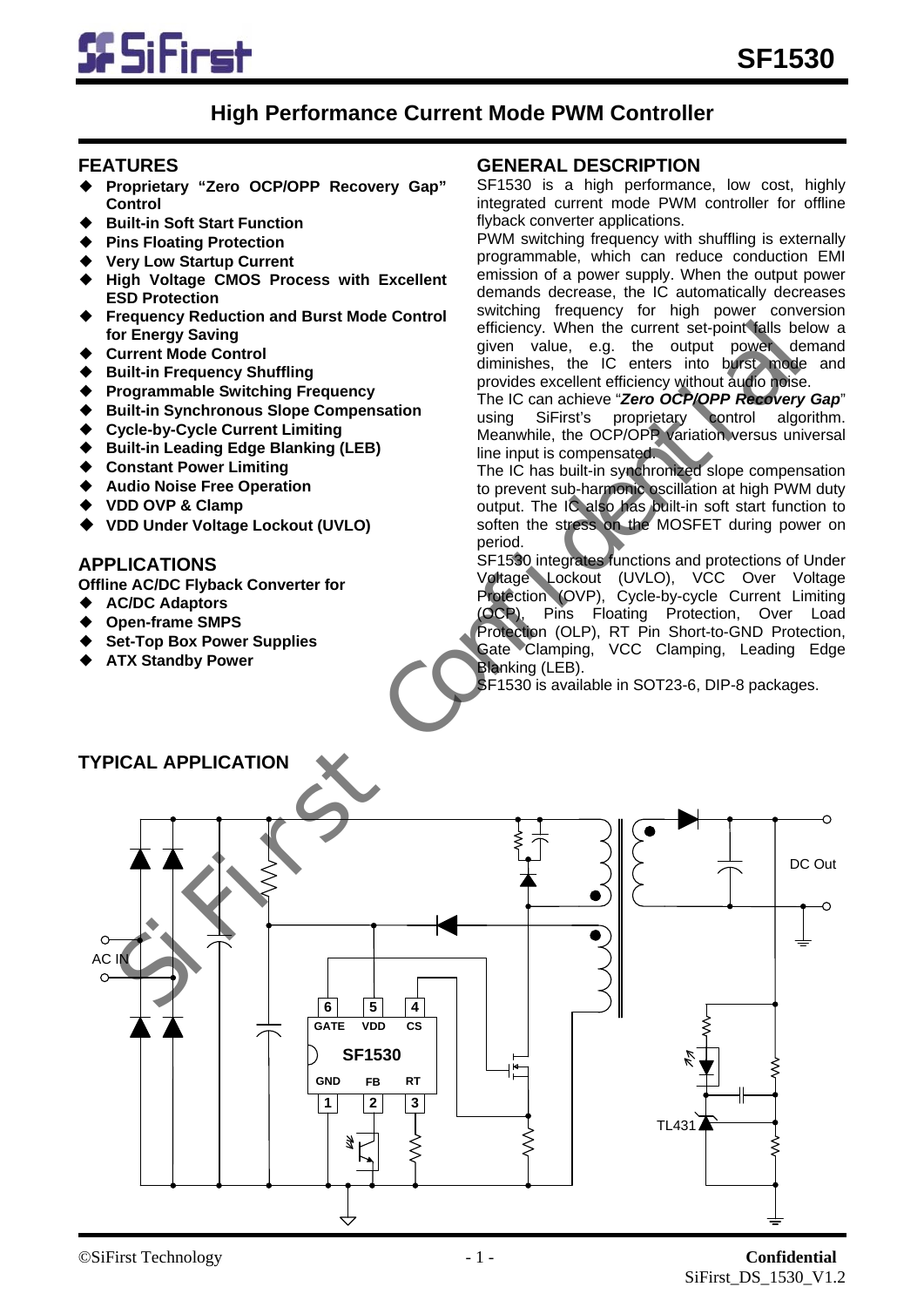

# **High Performance Current Mode PWM Controller**

#### **FEATURES**

- ◆ **Proprietary "Zero OCP/OPP Recovery Gap" Control**
- **Built-in Soft Start Function**
- **Pins Floating Protection**
- **Very Low Startup Current**
- **High Voltage CMOS Process with Excellent ESD Protection**
- **Frequency Reduction and Burst Mode Control for Energy Saving**
- **Current Mode Control**
- **Built-in Frequency Shuffling**
- **Programmable Switching Frequency**
- **Built-in Synchronous Slope Compensation**
- **Cycle-by-Cycle Current Limiting**
- **Built-in Leading Edge Blanking (LEB)**
- **Constant Power Limiting**
- **Audio Noise Free Operation**
- ◆ **VDD OVP & Clamp**
- ◆ **VDD Under Voltage Lockout (UVLO)**

## **APPLICATIONS**

**Offline AC/DC Flyback Converter for** 

- ◆ **AC/DC Adaptors**
- **Open-frame SMPS**
- **Set-Top Box Power Supplies**
- **ATX Standby Power**

### **GENERAL DESCRIPTION**

SF1530 is a high performance, low cost, highly integrated current mode PWM controller for offline flyback converter applications.

PWM switching frequency with shuffling is externally programmable, which can reduce conduction EMI emission of a power supply. When the output power demands decrease, the IC automatically decreases switching frequency for high power conversion efficiency. When the current set-point falls below a given value, e.g. the output power demand diminishes, the IC enters into burst mode and provides excellent efficiency without audio noise.

The IC can achieve "*Zero OCP/OPP Recovery Gap*" using SiFirst's proprietary control algorithm. Meanwhile, the OCP/OPP variation versus universal line input is compensated.

The IC has built-in synchronized slope compensation to prevent sub-harmonic oscillation at high PWM duty output. The IC also has built-in soft start function to soften the stress on the MOSFET during power on period.

SF1530 integrates functions and protections of Under Voltage Lockout (UVLO), VCC Over Voltage Protection (OVP), Cycle-by-cycle Current Limiting (OCP), Pins Floating Protection, Over Load Protection (OLP), RT Pin Short-to-GND Protection, Gate Clamping, VCC Clamping, Leading Edge Blanking (LEB).

SF1530 is available in SOT23-6, DIP-8 packages.



#### ©SiFirst Technology - 1 - **Confidential** SiFirst\_DS\_1530\_V1.2